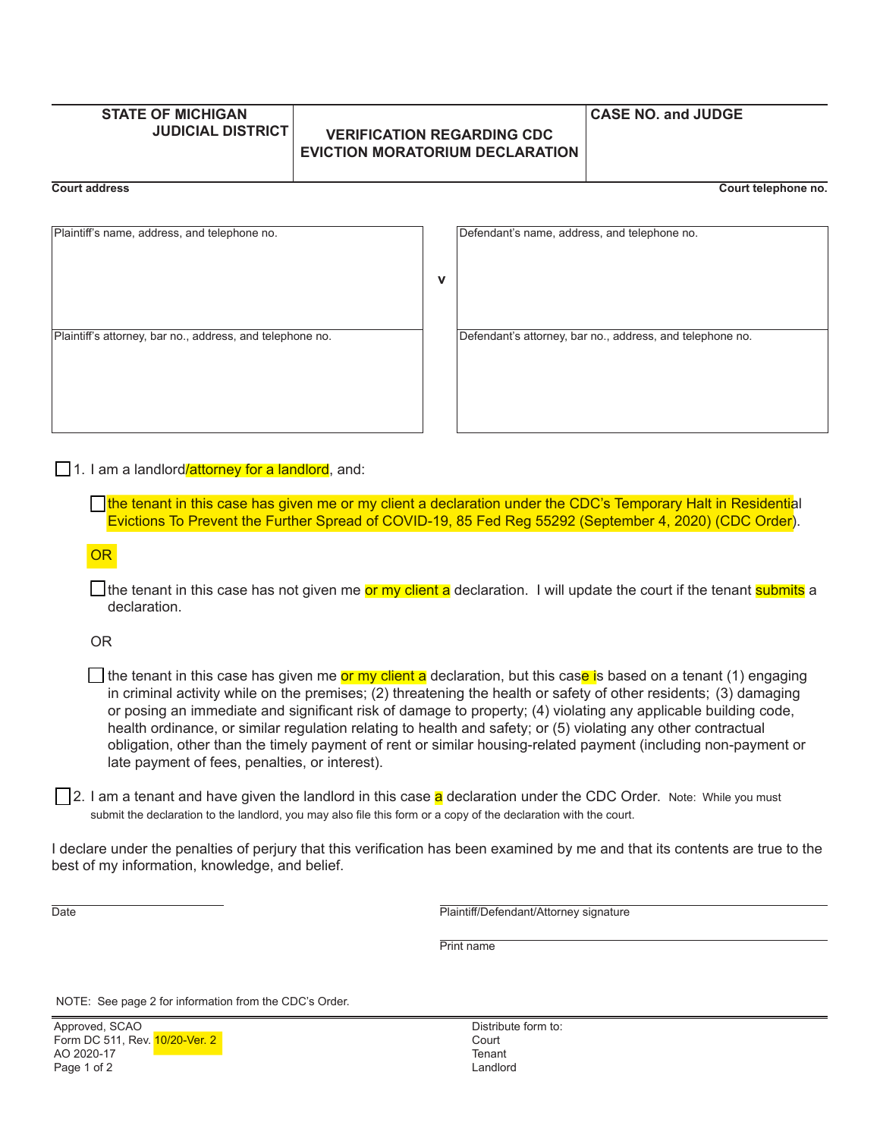# **STATE OF MICHIGAN**

## **JUDICIAL DISTRICT VERIFICATION REGARDING CDC EVICTION MORATORIUM DECLARATION**

#### **CASE NO. and JUDGE**

**Court address Court telephone no.**

| Plaintiff's name, address, and telephone no.              |             | Defendant's name, address, and telephone no.              |
|-----------------------------------------------------------|-------------|-----------------------------------------------------------|
|                                                           |             |                                                           |
|                                                           |             |                                                           |
|                                                           |             |                                                           |
|                                                           | $\mathbf v$ |                                                           |
|                                                           |             |                                                           |
|                                                           |             |                                                           |
|                                                           |             |                                                           |
| Plaintiff's attorney, bar no., address, and telephone no. |             | Defendant's attorney, bar no., address, and telephone no. |
|                                                           |             |                                                           |
|                                                           |             |                                                           |
|                                                           |             |                                                           |
|                                                           |             |                                                           |
|                                                           |             |                                                           |
|                                                           |             |                                                           |
|                                                           |             |                                                           |
|                                                           |             |                                                           |

| Defendant's name, address, and telephone no.              |  |
|-----------------------------------------------------------|--|
|                                                           |  |
|                                                           |  |
|                                                           |  |
|                                                           |  |
|                                                           |  |
|                                                           |  |
|                                                           |  |
|                                                           |  |
|                                                           |  |
|                                                           |  |
|                                                           |  |
|                                                           |  |
|                                                           |  |
|                                                           |  |
|                                                           |  |
| Defendant's attorney, bar no., address, and telephone no. |  |
|                                                           |  |
|                                                           |  |
|                                                           |  |
|                                                           |  |
|                                                           |  |
|                                                           |  |
|                                                           |  |
|                                                           |  |
|                                                           |  |
|                                                           |  |

#### 1. I am a landlord/attorney for a landlord, and:

the tenant in this case has given me or my client a declaration under the CDC's Temporary Halt in Residential Evictions To Prevent the Further Spread of COVID-19, 85 Fed Reg 55292 (September 4, 2020) (CDC Order).

**OR** 

The tenant in this case has not given me or my client a declaration. I will update the court if the tenant submits a declaration.

OR

**T** the tenant in this case has given me or my client a declaration, but this case is based on a tenant (1) engaging in criminal activity while on the premises; (2) threatening the health or safety of other residents; (3) damaging or posing an immediate and significant risk of damage to property; (4) violating any applicable building code, health ordinance, or similar regulation relating to health and safety; or (5) violating any other contractual obligation, other than the timely payment of rent or similar housing-related payment (including non-payment or late payment of fees, penalties, or interest).

2. I am a tenant and have given the landlord in this case a declaration under the CDC Order. Note: While you must submit the declaration to the landlord, you may also file this form or a copy of the declaration with the court.

I declare under the penalties of perjury that this verification has been examined by me and that its contents are true to the best of my information, knowledge, and belief.

Date **Date Date Plaintiff/Defendant/Attorney signature** 

**Print name** 

NOTE: See page 2 for information from the CDC's Order.

Distribute form to: **Court Tenant** Landlord